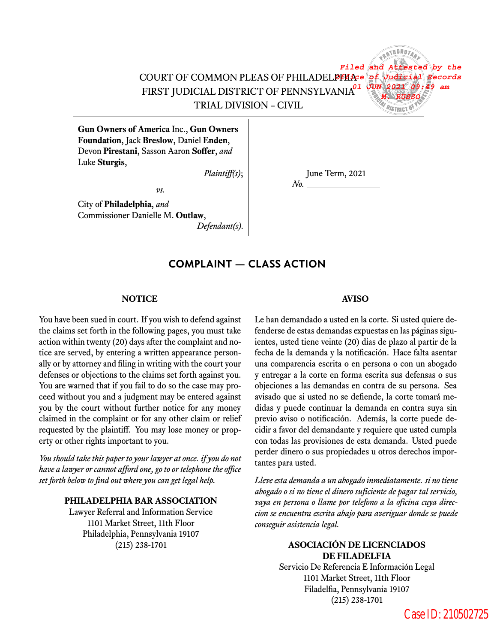COURT OF COMMON PLEAS OF PHILADELPHIA *Office of Judicial Records*  FIRST JUDICIAL DISTRICT OF PENNSYLVANIA *01 JUN 2021 09:49 am* TRIAL DIVISION – CIVIL

*Filed and Attested by the M. RUSSO*

**Gun Owners of America** Inc., **Gun Owners Foundation**, Jack **Breslow**, Daniel **Enden**, Devon **Pirestani**, Sasson Aaron **Soffer**, *and* Luke **Sturgis**,

*Plaintiff(s)*; June Term, 2021

*vs.* City of **Philadelphia**, *and* Commissioner Danielle M. **Outlaw**,

*Defendant(s)*.

# **COMPLAINT — CLASS ACTION**

#### **NOTICE AVISO**

You have been sued in court. If you wish to defend against the claims set forth in the following pages, you must take action within twenty (20) days after the complaint and notice are served, by entering a written appearance personally or by attorney and filing in writing with the court your defenses or objections to the claims set forth against you. You are warned that if you fail to do so the case may proceed without you and a judgment may be entered against you by the court without further notice for any money claimed in the complaint or for any other claim or relief requested by the plaintiff. You may lose money or property or other rights important to you.

tantes para usted. *You should take this paper to your lawyer atonce. if you do not have a lawyeror cannot afford one, gotoor telephone theofce* set forth below to find out where you can get legal help. Lleve esta demanda a un abogado inmediatamente. si no tiene

#### **PHILADELPHIA BAR ASSOCIATION**

Lawyer Referral and Information Service 1101 Market Street, 11th Floor Philadelphia, Pennsylvania 19107

*No.*

Le han demandado a usted en la corte. Si usted quiere defenderse de estas demandas expuestas en las páginas siguientes, usted tiene veinte (20) dias de plazo al partir de la fecha de la demanda y la notificación. Hace falta asentar una comparencia escrita o en persona o con un abogado y entregar a la corte en forma escrita sus defensas o sus objeciones a las demandas en contra de su persona. Sea avisado que si usted no se defiende, la corte tomará medidas y puede continuar la demanda en contra suya sin previo aviso o notificación. Además, la corte puede decidir a favor del demandante y requiere que usted cumpla con todas las provisiones de esta demanda. Usted puede perder dinero o sus propiedades u otros derechos impor-

*abogado o si no tiene el dinero suficiente de pagar tal servicio, vaya en persona o llame por telefono a la oficina cuya direccion se encuentra escrita abajo para averiguar donde se puede conseguir asistencia legal.*

#### (215) 238-1701 **ASOCIACIÓN DE LICENCIADOS DE FILADELFIA**

Servicio De Referencia E Información Legal 1101 Market Street, 11th Floor Filadelfia, Pennsylvania 19107 (215) 238-1701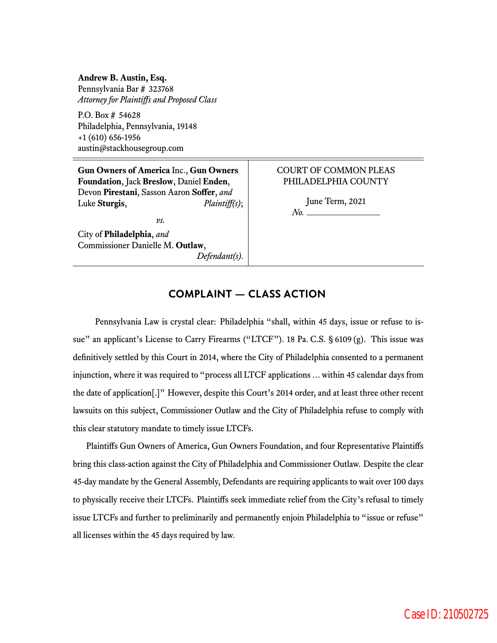**Andrew B. Austin, Esq.** Pennsylvania Bar # 323768 *Attorney for Plaintiffs and Proposed Class*

P.O. Box # 54628 Philadelphia, Pennsylvania, 19148 +1 (610) 656-1956 austin@stackhousegroup.com

**Gun Owners of America** Inc., **Gun Owners Foundation**, Jack **Breslow**, Daniel **Enden**, Devon **Pirestani**, Sasson Aaron **Soffer**, *and* Luke **Sturgis**, *Plaintiff(s)*;

*vs.*

City of **Philadelphia**, *and* Commissioner Danielle M. **Outlaw**, *Defendant(s)*.

### COURT OF COMMON PLEAS PHILADELPHIA COUNTY

June Term, 2021

*No.*

# **COMPLAINT — CLASS ACTION**

Pennsylvania Law is crystal clear: Philadelphia "shall, within 45 days, issue or refuse to issue" an applicant's License to Carry Firearms ("LTCF"). 18 Pa. C.S. § 6109 (g). This issue was definitively settled by this Court in 2014, where the City of Philadelphia consented to a permanent injunction, where it was required to "process all LTCF applications…within 45 calendar days from the date of application[.]" However, despite this Court's 2014 order, and at least three other recent lawsuits on this subject, Commissioner Outlaw and the City of Philadelphia refuse to comply with this clear statutory mandate to timely issue LTCFs.

Plaintiffs Gun Owners of America, Gun Owners Foundation, and four Representative Plaintiffs bring this class-action against the City of Philadelphia and Commissioner Outlaw. Despite the clear 45-day mandate by the General Assembly, Defendants are requiring applicants to wait over 100 days to physically receive their LTCFs. Plaintiffs seek immediate relief from the City's refusal to timely issue LTCFs and further to preliminarily and permanently enjoin Philadelphia to "issue or refuse" all licenses within the 45 days required by law.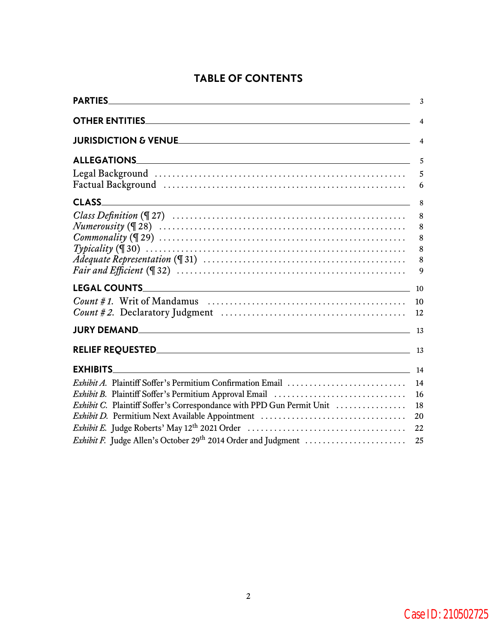# **TABLE OF CONTENTS**

|                                                                                                                                    | 3                          |
|------------------------------------------------------------------------------------------------------------------------------------|----------------------------|
|                                                                                                                                    | $\overline{4}$             |
|                                                                                                                                    | 4                          |
|                                                                                                                                    | 5                          |
|                                                                                                                                    | 5<br>6                     |
| <b>CLASS</b>                                                                                                                       | 8                          |
| $Commonality (\mathbb{Z}29) \dots \dots \dots \dots \dots \dots \dots \dots \dots \dots \dots \dots \dots \dots \dots \dots \dots$ | 8<br>8<br>8<br>8<br>8<br>9 |
|                                                                                                                                    |                            |
|                                                                                                                                    | 10<br>12                   |
|                                                                                                                                    | - 13                       |
|                                                                                                                                    |                            |
| $\sim$ 14<br><b>EXHIBITS</b>                                                                                                       |                            |
| -16<br>Exhibit C. Plaintiff Soffer's Correspondance with PPD Gun Permit Unit<br>Exhibit D. Permitium Next Available Appointment    | 14<br>18<br>20             |
|                                                                                                                                    | 22<br>25                   |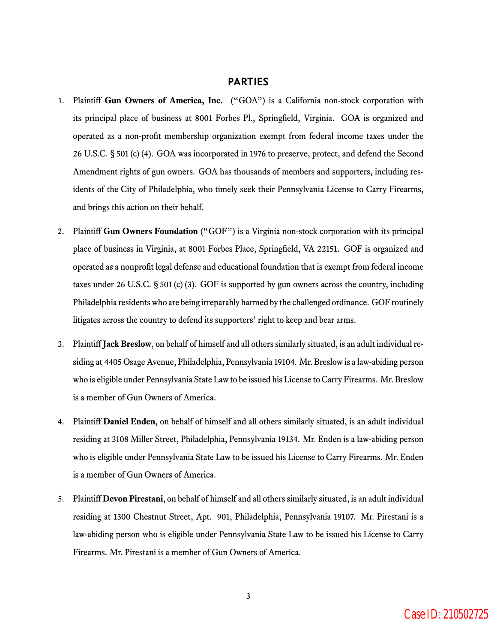# **PARTIES**

- 1. Plaintiff **Gun Owners of America, Inc.** ("GOA") is a California non-stock corporation with its principal place of business at 8001 Forbes Pl., Springfield, Virginia. GOA is organized and operated as a non-profit membership organization exempt from federal income taxes under the 26 U.S.C. § 501 (c) (4). GOA was incorporated in 1976 to preserve, protect, and defend the Second Amendment rights of gun owners. GOA has thousands of members and supporters, including residents of the City of Philadelphia, who timely seek their Pennsylvania License to Carry Firearms, and brings this action on their behalf.
- 2. Plaintiff **Gun Owners Foundation** ("GOF") is a Virginia non-stock corporation with its principal place of business in Virginia, at 8001 Forbes Place, Springfield, VA 22151. GOF is organized and operated as a nonprofit legal defense and educational foundation that is exempt from federal income taxes under 26 U.S.C. § 501 (c) (3). GOF is supported by gun owners across the country, including Philadelphia residents who are being irreparably harmed by the challenged ordinance. GOF routinely litigates across the country to defend its supporters' right to keep and bear arms.
- 3. Plaintiff **Jack Breslow**, on behalf of himself and all others similarly situated, is an adult individual residing at 4405 Osage Avenue, Philadelphia, Pennsylvania 19104. Mr. Breslow is a law-abiding person who is eligible under Pennsylvania State Law to be issued his License to Carry Firearms. Mr. Breslow is a member of Gun Owners of America.
- 4. Plaintiff **Daniel Enden**, on behalf of himself and all others similarly situated, is an adult individual residing at 3108 Miller Street, Philadelphia, Pennsylvania 19134. Mr. Enden is a law-abiding person who is eligible under Pennsylvania State Law to be issued his License to Carry Firearms. Mr. Enden is a member of Gun Owners of America.
- 5. Plaintiff **Devon Pirestani**, on behalf of himself and all others similarly situated, is an adult individual residing at 1300 Chestnut Street, Apt. 901, Philadelphia, Pennsylvania 19107. Mr. Pirestani is a law-abiding person who is eligible under Pennsylvania State Law to be issued his License to Carry Firearms. Mr. Pirestani is a member of Gun Owners of America.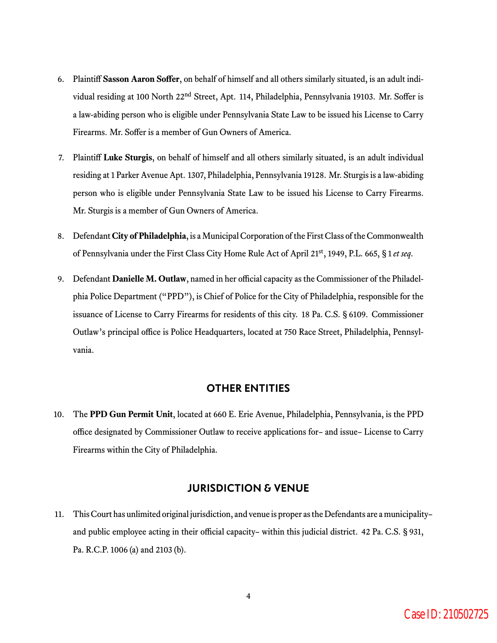- 6. Plaintiff **Sasson Aaron Soffer**, on behalf of himself and all others similarly situated, is an adult individual residing at 100 North 22<sup>nd</sup> Street, Apt. 114, Philadelphia, Pennsylvania 19103. Mr. Soffer is a law-abiding person who is eligible under Pennsylvania State Law to be issued his License to Carry Firearms. Mr. Soffer is a member of Gun Owners of America.
- 7. Plaintiff **Luke Sturgis**, on behalf of himself and all others similarly situated, is an adult individual residing at 1 Parker Avenue Apt. 1307, Philadelphia, Pennsylvania 19128. Mr. Sturgis is a law-abiding person who is eligible under Pennsylvania State Law to be issued his License to Carry Firearms. Mr. Sturgis is a member of Gun Owners of America.
- 8. Defendant **City of Philadelphia**, is a Municipal Corporation of the First Class of the Commonwealth of Pennsylvania under the First Class City Home Rule Act of April 21st, 1949, P.L. 665, § 1 *et seq*.
- 9. Defendant **Danielle M. Outlaw**, named in her official capacity as the Commissioner of the Philadelphia Police Department ("PPD"), is Chief of Police for the City of Philadelphia, responsible for the issuance of License to Carry Firearms for residents of this city. 18 Pa. C.S. § 6109. Commissioner Outlaw's principal office is Police Headquarters, located at 750 Race Street, Philadelphia, Pennsylvania.

# **OTHER ENTITIES**

10. The **PPD Gun Permit Unit**, located at 660 E. Erie Avenue, Philadelphia, Pennsylvania, is the PPD office designated by Commissioner Outlaw to receive applications for– and issue– License to Carry Firearms within the City of Philadelphia.

#### **JURISDICTION & VENUE**

11. This Court has unlimited original jurisdiction, and venue is proper as the Defendants are a municipality– and public employee acting in their official capacity– within this judicial district. 42 Pa. C.S. § 931, Pa. R.C.P. 1006 (a) and 2103 (b).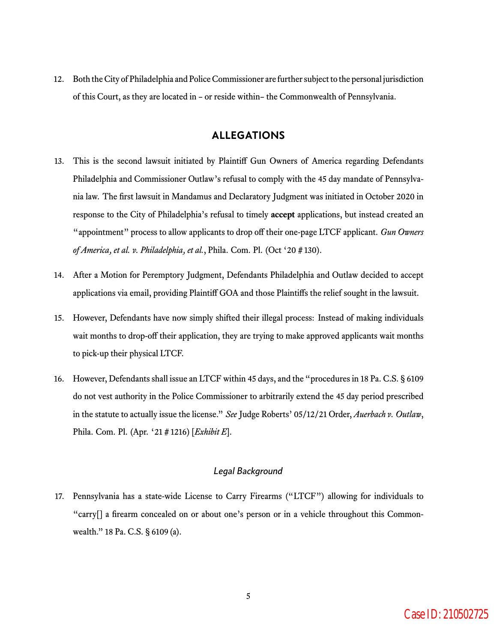12. Both the City of Philadelphia and Police Commissioner are further subject to the personal jurisdiction of this Court, as they are located in – or reside within– the Commonwealth of Pennsylvania.

# **ALLEGATIONS**

- 13. This is the second lawsuit initiated by Plaintiff Gun Owners of America regarding Defendants Philadelphia and Commissioner Outlaw's refusal to comply with the 45 day mandate of Pennsylvania law. The first lawsuit in Mandamus and Declaratory Judgment was initiated in October 2020 in response to the City of Philadelphia's refusal to timely **accept** applications, but instead created an "appointment" process to allow applicants to drop off their one-page LTCF applicant. *Gun Owners of America, et al. v. Philadelphia, et al.*, Phila. Com. Pl. (Oct '20 # 130).
- 14. After a Motion for Peremptory Judgment, Defendants Philadelphia and Outlaw decided to accept applications via email, providing Plaintiff GOA and those Plaintiffs the relief sought in the lawsuit.
- 15. However, Defendants have now simply shifted their illegal process: Instead of making individuals wait months to drop-off their application, they are trying to make approved applicants wait months to pick-up their physical LTCF.
- 16. However, Defendants shall issue an LTCF within 45 days, and the "procedures in 18 Pa. C.S. § 6109 do not vest authority in the Police Commissioner to arbitrarily extend the 45 day period prescribed in the statute to actually issue the license." *See* Judge Roberts' 05/12/21 Order, *Auerbach v. Outlaw*, Phila. Com. Pl. (Apr. '21 # 1216) [*Exhibit E*].

#### *Legal Background*

17. Pennsylvania has a state-wide License to Carry Firearms ("LTCF") allowing for individuals to "carry[] a firearm concealed on or about one's person or in a vehicle throughout this Commonwealth." 18 Pa. C.S. § 6109 (a).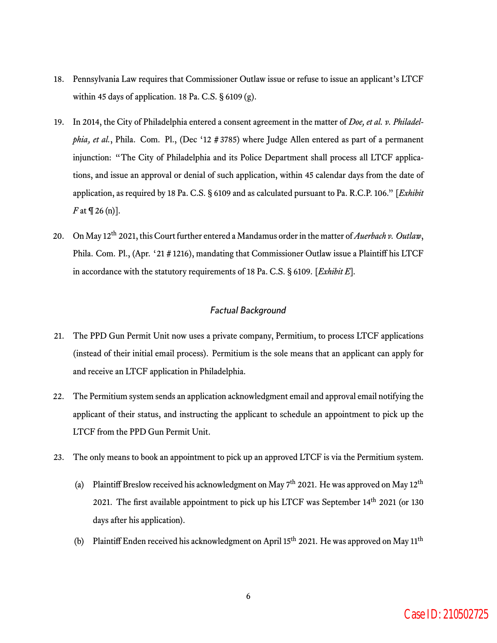- 18. Pennsylvania Law requires that Commissioner Outlaw issue or refuse to issue an applicant's LTCF within 45 days of application. 18 Pa. C.S.  $\S$  6109 (g).
- 19. In 2014, the City of Philadelphia entered a consent agreement in the matter of *Doe, et al. v. Philadelphia, et al.*, Phila. Com. Pl., (Dec '12 # 3785) where Judge Allen entered as part of a permanent injunction: "The City of Philadelphia and its Police Department shall process all LTCF applications, and issue an approval or denial of such application, within 45 calendar days from the date of application, as required by 18 Pa. C.S. § 6109 and as calculated pursuant to Pa. R.C.P. 106." [*Exhibit F* at  $\P$  26 (n)].
- 20. On May 12th 2021, this Court further entered a Mandamus order in the matter of*Auerbach v. Outlaw*, Phila. Com. Pl., (Apr. '21 # 1216), mandating that Commissioner Outlaw issue a Plaintiff his LTCF in accordance with the statutory requirements of 18 Pa. C.S. § 6109. [*Exhibit E*].

#### *Factual Background*

- 21. The PPD Gun Permit Unit now uses a private company, Permitium, to process LTCF applications (instead of their initial email process). Permitium is the sole means that an applicant can apply for and receive an LTCF application in Philadelphia.
- 22. The Permitium system sends an application acknowledgment email and approval email notifying the applicant of their status, and instructing the applicant to schedule an appointment to pick up the LTCF from the PPD Gun Permit Unit.
- 23. The only means to book an appointment to pick up an approved LTCF is via the Permitium system.
	- (a) Plaintiff Breslow received his acknowledgment on May  $7<sup>th</sup>$  2021. He was approved on May  $12<sup>th</sup>$ 2021. The first available appointment to pick up his LTCF was September 14<sup>th</sup> 2021 (or 130 days after his application).
	- (b) Plaintiff Enden received his acknowledgment on April 15<sup>th</sup> 2021. He was approved on May 11<sup>th</sup>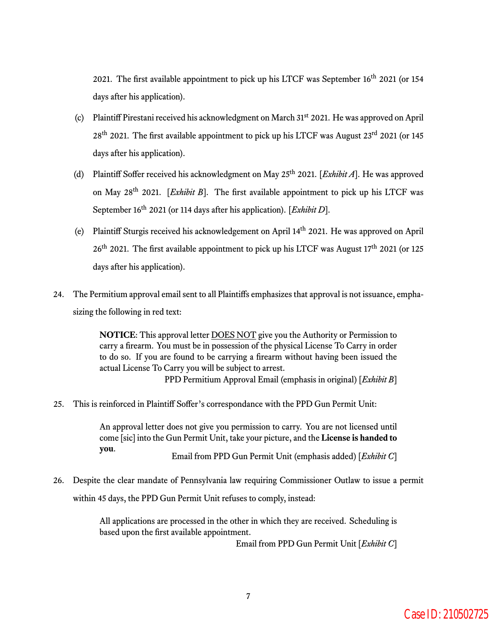2021. The first available appointment to pick up his LTCF was September 16<sup>th</sup> 2021 (or 154 days after his application).

- (c) Plaintiff Pirestani received his acknowledgment on March 31st 2021. He was approved on April  $28<sup>th</sup>$  2021. The first available appointment to pick up his LTCF was August  $23<sup>rd</sup>$  2021 (or 145 days after his application).
- (d) Plaintiff Soffer received his acknowledgment on May 25th 2021. [*Exhibit A*]. He was approved on May 28th 2021. [*Exhibit B*]. The first available appointment to pick up his LTCF was September 16<sup>th</sup> 2021 (or 114 days after his application). [*Exhibit D*].
- (e) Plaintiff Sturgis received his acknowledgement on April 14th 2021. He was approved on April 26<sup>th</sup> 2021. The first available appointment to pick up his LTCF was August 17<sup>th</sup> 2021 (or 125 days after his application).
- 24. The Permitium approval email sent to all Plaintiffs emphasizes that approval is not issuance, emphasizing the following in red text:

**NOTICE**: This approval letter DOES NOT give you the Authority or Permission to carry a firearm. You must be in possession of the physical License To Carry in order to do so. If you are found to be carrying a firearm without having been issued the actual License To Carry you will be subject to arrest.

PPD Permitium Approval Email (emphasis in original) [*Exhibit B*]

25. This is reinforced in Plaintiff Soffer's correspondance with the PPD Gun Permit Unit:

An approval letter does not give you permission to carry. You are not licensed until come [sic] into the Gun Permit Unit, take your picture, and the **License is handed to you**. Email from PPD Gun Permit Unit (emphasis added) [*Exhibit C*]

26. Despite the clear mandate of Pennsylvania law requiring Commissioner Outlaw to issue a permit within 45 days, the PPD Gun Permit Unit refuses to comply, instead:

> All applications are processed in the other in which they are received. Scheduling is based upon the first available appointment.

> > Email from PPD Gun Permit Unit [*Exhibit C*]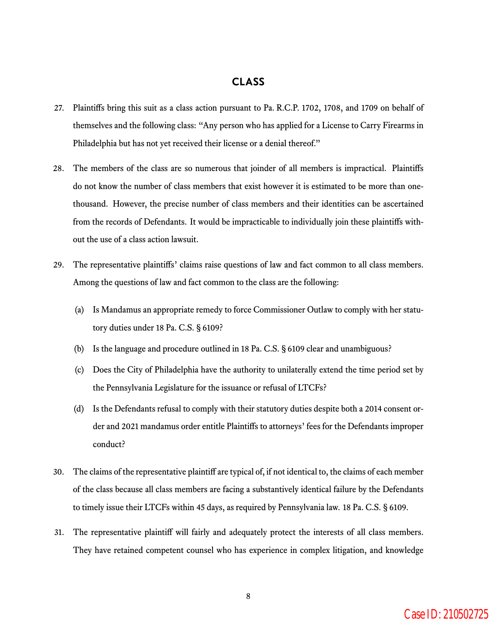# **CLASS**

- 27. Plaintiffs bring this suit as a class action pursuant to Pa. R.C.P. 1702, 1708, and 1709 on behalf of themselves and the following class: "Any person who has applied for a License to Carry Firearms in Philadelphia but has not yet received their license or a denial thereof."
- 28. The members of the class are so numerous that joinder of all members is impractical. Plaintiffs do not know the number of class members that exist however it is estimated to be more than onethousand. However, the precise number of class members and their identities can be ascertained from the records of Defendants. It would be impracticable to individually join these plaintiffs without the use of a class action lawsuit.
- 29. The representative plaintiffs' claims raise questions of law and fact common to all class members. Among the questions of law and fact common to the class are the following:
	- (a) Is Mandamus an appropriate remedy to force Commissioner Outlaw to comply with her statutory duties under 18 Pa. C.S. § 6109?
	- (b) Is the language and procedure outlined in 18 Pa. C.S. § 6109 clear and unambiguous?
	- (c) Does the City of Philadelphia have the authority to unilaterally extend the time period set by the Pennsylvania Legislature for the issuance or refusal of LTCFs?
	- (d) Is the Defendants refusal to comply with their statutory duties despite both a 2014 consent order and 2021 mandamus order entitle Plaintiffs to attorneys' fees for the Defendants improper conduct?
- 30. The claims of the representative plaintiff are typical of, if not identical to, the claims of each member of the class because all class members are facing a substantively identical failure by the Defendants to timely issue their LTCFs within 45 days, as required by Pennsylvania law. 18 Pa. C.S. § 6109.
- 31. The representative plaintiff will fairly and adequately protect the interests of all class members. They have retained competent counsel who has experience in complex litigation, and knowledge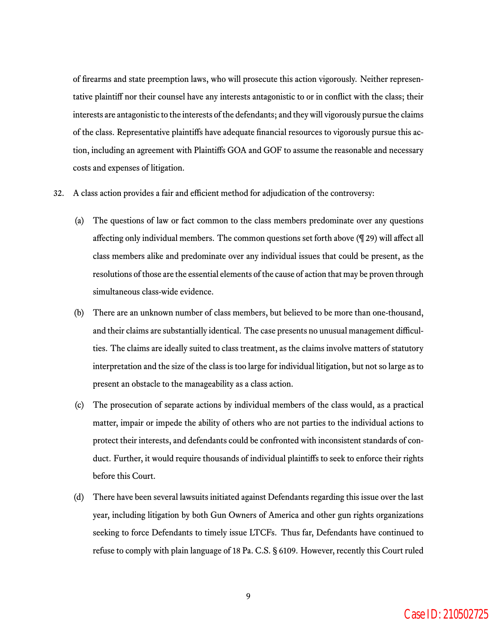of firearms and state preemption laws, who will prosecute this action vigorously. Neither representative plaintiff nor their counsel have any interests antagonistic to or in conflict with the class; their interests are antagonistic to the interests of the defendants; and they will vigorously pursue the claims of the class. Representative plaintiffs have adequate financial resources to vigorously pursue this action, including an agreement with Plaintiffs GOA and GOF to assume the reasonable and necessary costs and expenses of litigation.

- 32. A class action provides a fair and efficient method for adjudication of the controversy:
	- (a) The questions of law or fact common to the class members predominate over any questions affecting only individual members. The common questions set forth above (¶ 29) will affect all class members alike and predominate over any individual issues that could be present, as the resolutions of those are the essential elements of the cause of action that may be proven through simultaneous class-wide evidence.
	- (b) There are an unknown number of class members, but believed to be more than one-thousand, and their claims are substantially identical. The case presents no unusual management difficulties. The claims are ideally suited to class treatment, as the claims involve matters of statutory interpretation and the size of the class is too large for individual litigation, but not so large as to present an obstacle to the manageability as a class action.
	- (c) The prosecution of separate actions by individual members of the class would, as a practical matter, impair or impede the ability of others who are not parties to the individual actions to protect their interests, and defendants could be confronted with inconsistent standards of conduct. Further, it would require thousands of individual plaintiffs to seek to enforce their rights before this Court.
	- (d) There have been several lawsuits initiated against Defendants regarding this issue over the last year, including litigation by both Gun Owners of America and other gun rights organizations seeking to force Defendants to timely issue LTCFs. Thus far, Defendants have continued to refuse to comply with plain language of 18 Pa. C.S. § 6109. However, recently this Court ruled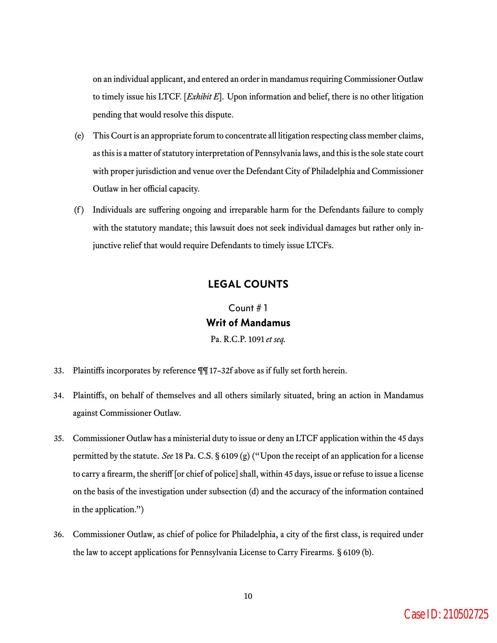on an individual applicant, and entered an order in mandamus requiring Commissioner Outlaw to timely issue his LTCF. [*Exhibit E*]. Upon information and belief, there is no other litigation pending that would resolve this dispute.

- (e) This Court is an appropriate forum to concentrate all litigation respecting class member claims, as this is a matter of statutory interpretation of Pennsylvania laws, and this is the sole state court with proper jurisdiction and venue over the Defendant City of Philadelphia and Commissioner Outlaw in her official capacity.
- (f ) Individuals are suffering ongoing and irreparable harm for the Defendants failure to comply with the statutory mandate; this lawsuit does not seek individual damages but rather only injunctive relief that would require Defendants to timely issue LTCFs.

## **LEGAL COUNTS**

Count # 1 **Writ of Mandamus** Pa. R.C.P. 1091 *et seq.*

- 33. Plaintiffs incorporates by reference ¶¶ 17–32f above as if fully set forth herein.
- 34. Plaintiffs, on behalf of themselves and all others similarly situated, bring an action in Mandamus against Commissioner Outlaw.
- 35. Commissioner Outlaw has a ministerial duty to issue or deny an LTCF application within the 45 days permitted by the statute. *See* 18 Pa. C.S. § 6109 (g) ("Upon the receipt of an application for a license to carry a firearm, the sheriff [or chief of police] shall, within 45 days, issue or refuse to issue a license on the basis of the investigation under subsection (d) and the accuracy of the information contained in the application.")
- 36. Commissioner Outlaw, as chief of police for Philadelphia, a city of the first class, is required under the law to accept applications for Pennsylvania License to Carry Firearms. § 6109 (b).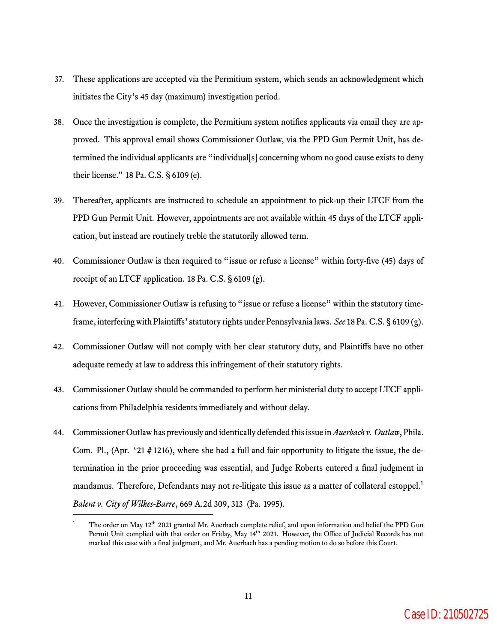- 37. These applications are accepted via the Permitium system, which sends an acknowledgment which initiates the City's 45 day (maximum) investigation period.
- 38. Once the investigation is complete, the Permitium system notifies applicants via email they are approved. This approval email shows Commissioner Outlaw, via the PPD Gun Permit Unit, has determined the individual applicants are "individual[s] concerning whom no good cause exists to deny their license." 18 Pa. C.S. § 6109 (e).
- 39. Thereafter, applicants are instructed to schedule an appointment to pick-up their LTCF from the PPD Gun Permit Unit. However, appointments are not available within 45 days of the LTCF application, but instead are routinely treble the statutorily allowed term.
- 40. Commissioner Outlaw is then required to "issue or refuse a license" within forty-five (45) days of receipt of an LTCF application. 18 Pa. C.S. § 6109 (g).
- 41. However, Commissioner Outlaw is refusing to "issue or refuse a license" within the statutory timeframe, interfering with Plaintiffs' statutory rights under Pennsylvania laws. *See* 18 Pa. C.S. § 6109 (g).
- 42. Commissioner Outlaw will not comply with her clear statutory duty, and Plaintiffs have no other adequate remedy at law to address this infringement of their statutory rights.
- 43. Commissioner Outlaw should be commanded to perform her ministerial duty to accept LTCF applications from Philadelphia residents immediately and without delay.
- 44. Commissioner Outlaw has previously and identically defended this issue in*Auerbach v. Outlaw*, Phila. Com. Pl., (Apr. '21 # 1216), where she had a full and fair opportunity to litigate the issue, the determination in the prior proceeding was essential, and Judge Roberts entered a final judgment in mandamus. Therefore, Defendants may not re-litigate this issue as a matter of collateral estoppel.<sup>1</sup> *Balent v. City of Wilkes-Barre*, 669 A.2d 309, 313 (Pa. 1995).

The order on May 12<sup>th</sup> 2021 granted Mr. Auerbach complete relief, and upon information and belief the PPD Gun Permit Unit complied with that order on Friday, May 14<sup>th</sup> 2021. However, the Office of Judicial Records has not marked this case with a final judgment, and Mr. Auerbach has a pending motion to do so before this Court.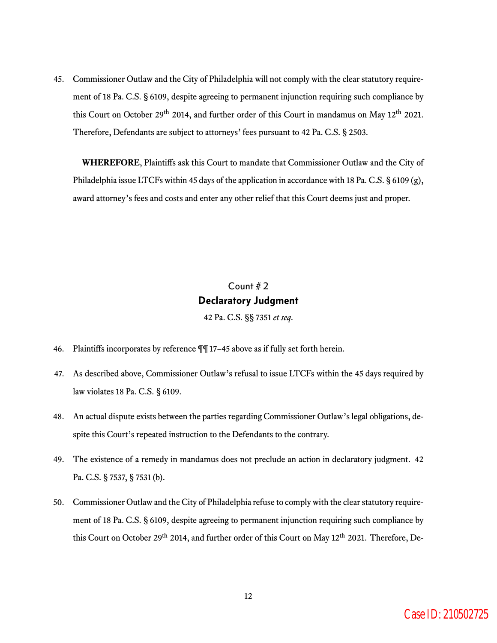45. Commissioner Outlaw and the City of Philadelphia will not comply with the clear statutory requirement of 18 Pa. C.S. § 6109, despite agreeing to permanent injunction requiring such compliance by this Court on October 29<sup>th</sup> 2014, and further order of this Court in mandamus on May 12<sup>th</sup> 2021. Therefore, Defendants are subject to attorneys' fees pursuant to 42 Pa. C.S. § 2503.

**WHEREFORE**, Plaintiffs ask this Court to mandate that Commissioner Outlaw and the City of Philadelphia issue LTCFs within 45 days of the application in accordance with 18 Pa. C.S. § 6109 (g), award attorney's fees and costs and enter any other relief that this Court deems just and proper.

# Count # 2 **Declaratory Judgment** 42 Pa. C.S. §§ 7351 *et seq*.

- 46. Plaintiffs incorporates by reference ¶¶ 17–45 above as if fully set forth herein.
- 47. As described above, Commissioner Outlaw's refusal to issue LTCFs within the 45 days required by law violates 18 Pa. C.S. § 6109.
- 48. An actual dispute exists between the parties regarding Commissioner Outlaw's legal obligations, despite this Court's repeated instruction to the Defendants to the contrary.
- 49. The existence of a remedy in mandamus does not preclude an action in declaratory judgment. 42 Pa. C.S. § 7537, § 7531 (b).
- 50. Commissioner Outlaw and the City of Philadelphia refuse to comply with the clear statutory requirement of 18 Pa. C.S. § 6109, despite agreeing to permanent injunction requiring such compliance by this Court on October 29<sup>th</sup> 2014, and further order of this Court on May 12<sup>th</sup> 2021. Therefore, De-